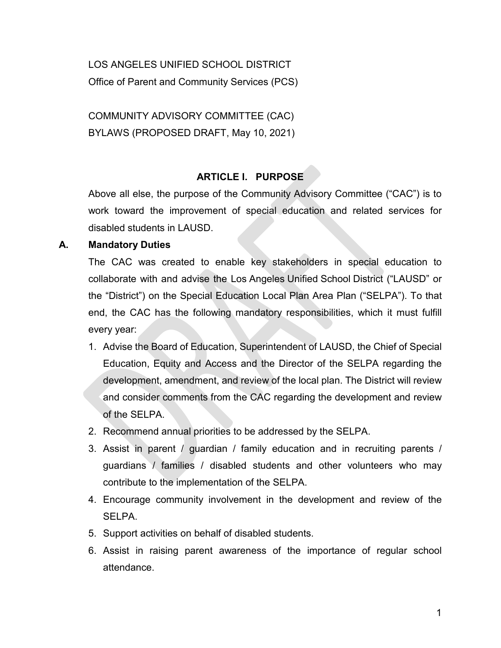LOS ANGELES UNIFIED SCHOOL DISTRICT Office of Parent and Community Services (PCS)

COMMUNITY ADVISORY COMMITTEE (CAC) BYLAWS (PROPOSED DRAFT, May 10, 2021)

# **ARTICLE I. PURPOSE**

Above all else, the purpose of the Community Advisory Committee ("CAC") is to work toward the improvement of special education and related services for disabled students in LAUSD.

# **A. Mandatory Duties**

The CAC was created to enable key stakeholders in special education to collaborate with and advise the Los Angeles Unified School District ("LAUSD" or the "District") on the Special Education Local Plan Area Plan ("SELPA"). To that end, the CAC has the following mandatory responsibilities, which it must fulfill every year:

- 1. Advise the Board of Education, Superintendent of LAUSD, the Chief of Special Education, Equity and Access and the Director of the SELPA regarding the development, amendment, and review of the local plan. The District will review and consider comments from the CAC regarding the development and review of the SELPA.
- 2. Recommend annual priorities to be addressed by the SELPA.
- 3. Assist in parent / guardian / family education and in recruiting parents / guardians / families / disabled students and other volunteers who may contribute to the implementation of the SELPA.
- 4. Encourage community involvement in the development and review of the SELPA.
- 5. Support activities on behalf of disabled students.
- 6. Assist in raising parent awareness of the importance of regular school attendance.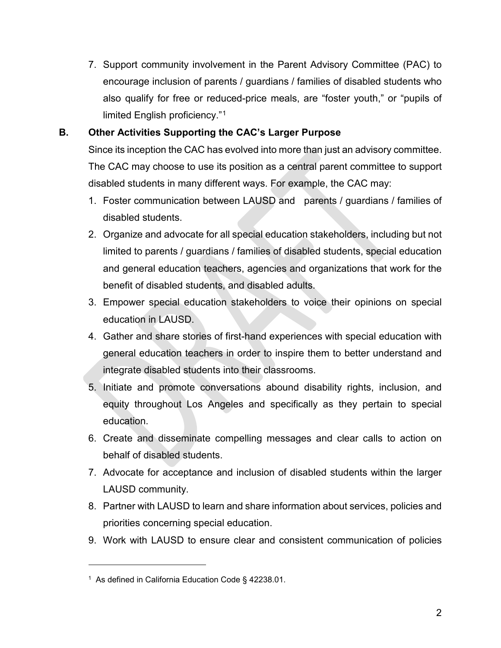7. Support community involvement in the Parent Advisory Committee (PAC) to encourage inclusion of parents / guardians / families of disabled students who also qualify for free or reduced-price meals, are "foster youth," or "pupils of limited English proficiency."[1](#page-1-0)

# **B. Other Activities Supporting the CAC's Larger Purpose**

Since its inception the CAC has evolved into more than just an advisory committee. The CAC may choose to use its position as a central parent committee to support disabled students in many different ways. For example, the CAC may:

- 1. Foster communication between LAUSD and parents / guardians / families of disabled students.
- 2. Organize and advocate for all special education stakeholders, including but not limited to parents / guardians / families of disabled students, special education and general education teachers, agencies and organizations that work for the benefit of disabled students, and disabled adults.
- 3. Empower special education stakeholders to voice their opinions on special education in LAUSD.
- 4. Gather and share stories of first-hand experiences with special education with general education teachers in order to inspire them to better understand and integrate disabled students into their classrooms.
- 5. Initiate and promote conversations abound disability rights, inclusion, and equity throughout Los Angeles and specifically as they pertain to special education.
- 6. Create and disseminate compelling messages and clear calls to action on behalf of disabled students.
- 7. Advocate for acceptance and inclusion of disabled students within the larger LAUSD community.
- 8. Partner with LAUSD to learn and share information about services, policies and priorities concerning special education.
- 9. Work with LAUSD to ensure clear and consistent communication of policies

 $\overline{a}$ 

<span id="page-1-0"></span><sup>1</sup> As defined in California Education Code § 42238.01.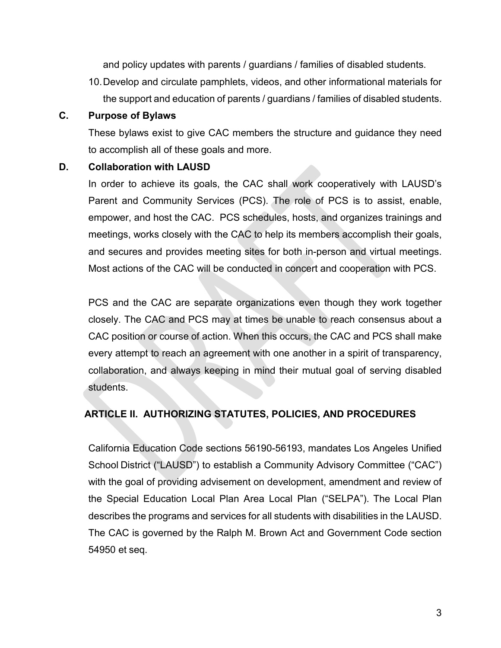and policy updates with parents / guardians / families of disabled students.

10.Develop and circulate pamphlets, videos, and other informational materials for the support and education of parents / guardians / families of disabled students.

#### **C. Purpose of Bylaws**

These bylaws exist to give CAC members the structure and guidance they need to accomplish all of these goals and more.

#### **D. Collaboration with LAUSD**

In order to achieve its goals, the CAC shall work cooperatively with LAUSD's Parent and Community Services (PCS). The role of PCS is to assist, enable, empower, and host the CAC. PCS schedules, hosts, and organizes trainings and meetings, works closely with the CAC to help its members accomplish their goals, and secures and provides meeting sites for both in-person and virtual meetings. Most actions of the CAC will be conducted in concert and cooperation with PCS.

PCS and the CAC are separate organizations even though they work together closely. The CAC and PCS may at times be unable to reach consensus about a CAC position or course of action. When this occurs, the CAC and PCS shall make every attempt to reach an agreement with one another in a spirit of transparency, collaboration, and always keeping in mind their mutual goal of serving disabled students.

# **ARTICLE II. AUTHORIZING STATUTES, POLICIES, AND PROCEDURES**

California Education Code sections 56190-56193, mandates Los Angeles Unified School District ("LAUSD") to establish a Community Advisory Committee ("CAC") with the goal of providing advisement on development, amendment and review of the Special Education Local Plan Area Local Plan ("SELPA"). The Local Plan describes the programs and services for all students with disabilities in the LAUSD. The CAC is governed by the Ralph M. Brown Act and Government Code section 54950 et seq.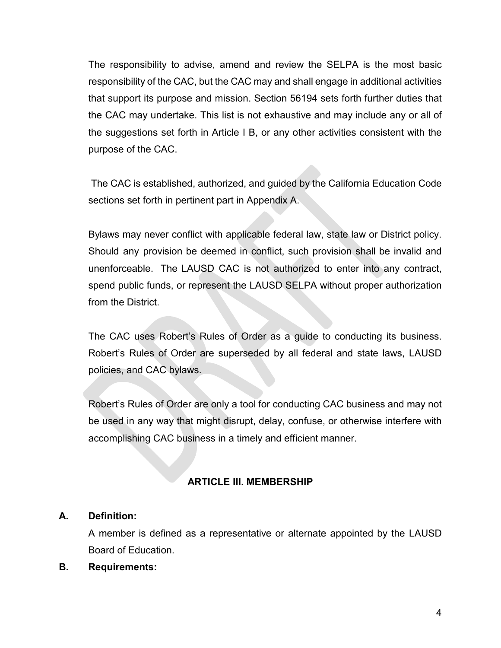The responsibility to advise, amend and review the SELPA is the most basic responsibility of the CAC, but the CAC may and shall engage in additional activities that support its purpose and mission. Section 56194 sets forth further duties that the CAC may undertake. This list is not exhaustive and may include any or all of the suggestions set forth in Article I B, or any other activities consistent with the purpose of the CAC.

The CAC is established, authorized, and guided by the California Education Code sections set forth in pertinent part in Appendix A.

Bylaws may never conflict with applicable federal law, state law or District policy. Should any provision be deemed in conflict, such provision shall be invalid and unenforceable. The LAUSD CAC is not authorized to enter into any contract, spend public funds, or represent the LAUSD SELPA without proper authorization from the District.

The CAC uses Robert's Rules of Order as a guide to conducting its business. Robert's Rules of Order are superseded by all federal and state laws, LAUSD policies, and CAC bylaws.

Robert's Rules of Order are only a tool for conducting CAC business and may not be used in any way that might disrupt, delay, confuse, or otherwise interfere with accomplishing CAC business in a timely and efficient manner.

# **ARTICLE III. MEMBERSHIP**

# **A. Definition:**

A member is defined as a representative or alternate appointed by the LAUSD Board of Education.

#### **B. Requirements:**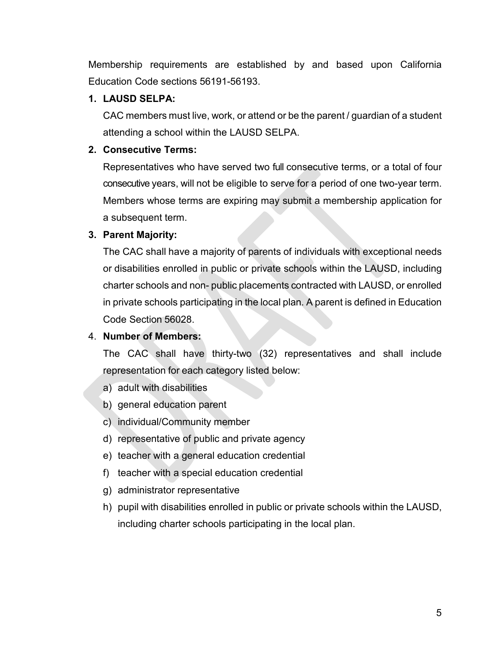Membership requirements are established by and based upon California Education Code sections 56191-56193.

# **1. LAUSD SELPA:**

CAC members must live, work, or attend or be the parent / guardian of a student attending a school within the LAUSD SELPA.

# **2. Consecutive Terms:**

Representatives who have served two full consecutive terms, or a total of four consecutive years, will not be eligible to serve for a period of one two-year term. Members whose terms are expiring may submit a membership application for a subsequent term.

# **3. Parent Majority:**

The CAC shall have a majority of parents of individuals with exceptional needs or disabilities enrolled in public or private schools within the LAUSD, including charter schools and non- public placements contracted with LAUSD, or enrolled in private schools participating in the local plan. A parent is defined in Education Code Section 56028.

# 4. **Number of Members:**

The CAC shall have thirty-two (32) representatives and shall include representation for each category listed below:

- a) adult with disabilities
- b) general education parent
- c) individual/Community member
- d) representative of public and private agency
- e) teacher with a general education credential
- f) teacher with a special education credential
- g) administrator representative
- h) pupil with disabilities enrolled in public or private schools within the LAUSD, including charter schools participating in the local plan.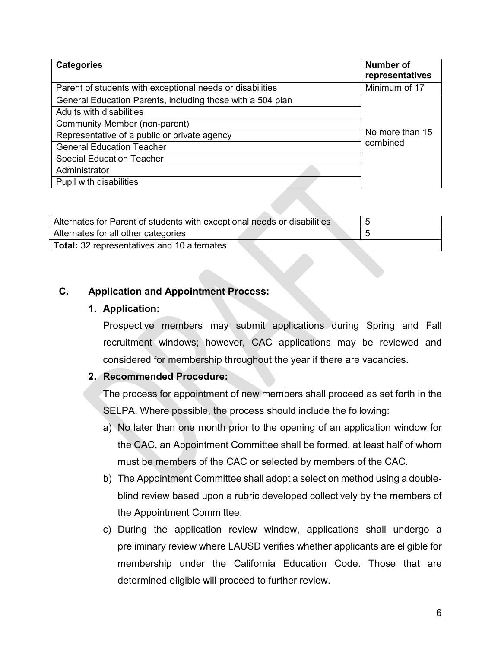| <b>Categories</b>                                          | Number of<br>representatives |
|------------------------------------------------------------|------------------------------|
| Parent of students with exceptional needs or disabilities  | Minimum of 17                |
| General Education Parents, including those with a 504 plan |                              |
| Adults with disabilities                                   |                              |
| Community Member (non-parent)                              | No more than 15<br>combined  |
| Representative of a public or private agency               |                              |
| <b>General Education Teacher</b>                           |                              |
| <b>Special Education Teacher</b>                           |                              |
| Administrator                                              |                              |
| Pupil with disabilities                                    |                              |

| Alternates for Parent of students with exceptional needs or disabilities |  |
|--------------------------------------------------------------------------|--|
| Alternates for all other categories                                      |  |
| <b>Total:</b> 32 representatives and 10 alternates                       |  |

#### **C. Application and Appointment Process:**

#### **1. Application:**

Prospective members may submit applications during Spring and Fall recruitment windows; however, CAC applications may be reviewed and considered for membership throughout the year if there are vacancies.

#### **2. Recommended Procedure:**

The process for appointment of new members shall proceed as set forth in the SELPA. Where possible, the process should include the following:

- a) No later than one month prior to the opening of an application window for the CAC, an Appointment Committee shall be formed, at least half of whom must be members of the CAC or selected by members of the CAC.
- b) The Appointment Committee shall adopt a selection method using a doubleblind review based upon a rubric developed collectively by the members of the Appointment Committee.
- c) During the application review window, applications shall undergo a preliminary review where LAUSD verifies whether applicants are eligible for membership under the California Education Code. Those that are determined eligible will proceed to further review.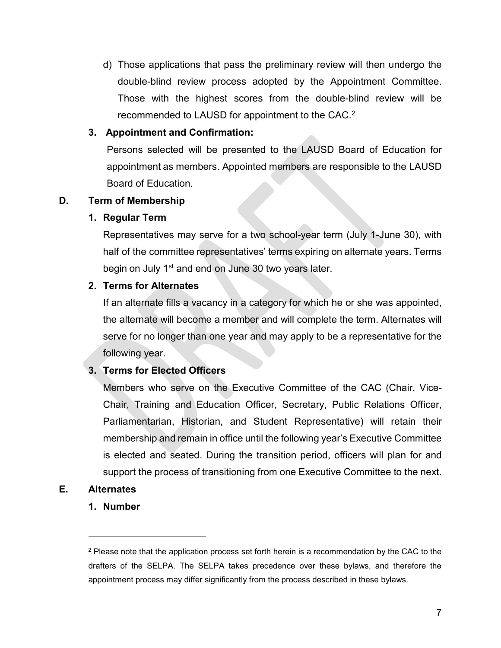d) Those applications that pass the preliminary review will then undergo the double-blind review process adopted by the Appointment Committee. Those with the highest scores from the double-blind review will be recommended to LAUSD for appointment to the CAC.[2](#page-6-0)

# **3. Appointment and Confirmation:**

Persons selected will be presented to the LAUSD Board of Education for appointment as members. Appointed members are responsible to the LAUSD Board of Education.

# **D. Term of Membership**

# **1. Regular Term**

Representatives may serve for a two school-year term (July 1-June 30), with half of the committee representatives' terms expiring on alternate years. Terms begin on July 1<sup>st</sup> and end on June 30 two years later.

# **2. Terms for Alternates**

If an alternate fills a vacancy in a category for which he or she was appointed, the alternate will become a member and will complete the term. Alternates will serve for no longer than one year and may apply to be a representative for the following year.

# **3. Terms for Elected Officers**

Members who serve on the Executive Committee of the CAC (Chair, Vice-Chair, Training and Education Officer, Secretary, Public Relations Officer, Parliamentarian, Historian, and Student Representative) will retain their membership and remain in office until the following year's Executive Committee is elected and seated. During the transition period, officers will plan for and support the process of transitioning from one Executive Committee to the next.

# <span id="page-6-0"></span>**E. Alternates**

 $\overline{a}$ 

**1. Number**

 $2$  Please note that the application process set forth herein is a recommendation by the CAC to the drafters of the SELPA. The SELPA takes precedence over these bylaws, and therefore the appointment process may differ significantly from the process described in these bylaws.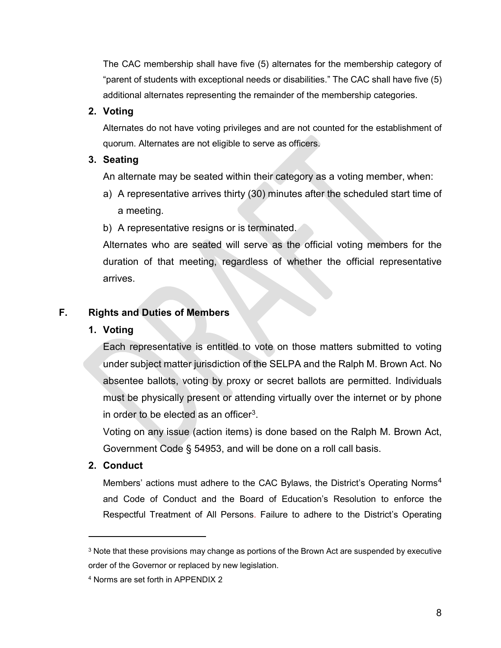The CAC membership shall have five (5) alternates for the membership category of "parent of students with exceptional needs or disabilities." The CAC shall have five (5) additional alternates representing the remainder of the membership categories.

# **2. Voting**

Alternates do not have voting privileges and are not counted for the establishment of quorum. Alternates are not eligible to serve as officers.

# **3. Seating**

An alternate may be seated within their category as a voting member, when:

a) A representative arrives thirty (30) minutes after the scheduled start time of a meeting.

b) A representative resigns or is terminated.

Alternates who are seated will serve as the official voting members for the duration of that meeting, regardless of whether the official representative arrives.

# **F. Rights and Duties of Members**

# **1. Voting**

Each representative is entitled to vote on those matters submitted to voting under subject matter jurisdiction of the SELPA and the Ralph M. Brown Act. No absentee ballots, voting by proxy or secret ballots are permitted. Individuals must be physically present or attending virtually over the internet or by phone in order to be elected as an officer[3](#page-7-0).

Voting on any issue (action items) is done based on the Ralph M. Brown Act, Government Code § 54953, and will be done on a roll call basis.

# **2. Conduct**

 $\overline{a}$ 

Members' actions must adhere to the CAC Bylaws, the District's Operating Norms<sup>[4](#page-7-1)</sup> and Code of Conduct and the Board of Education's Resolution to enforce the Respectful Treatment of All Persons. Failure to adhere to the District's Operating

<span id="page-7-0"></span> $3$  Note that these provisions may change as portions of the Brown Act are suspended by executive order of the Governor or replaced by new legislation.

<span id="page-7-1"></span><sup>4</sup> Norms are set forth in APPENDIX 2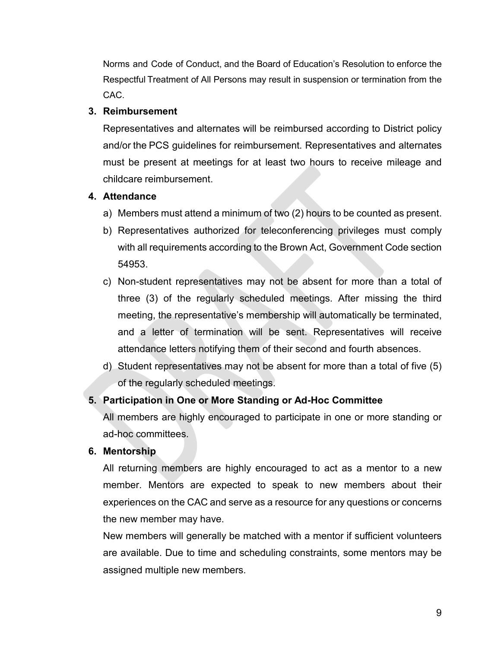Norms and Code of Conduct, and the Board of Education's Resolution to enforce the Respectful Treatment of All Persons may result in suspension or termination from the CAC.

#### **3. Reimbursement**

Representatives and alternates will be reimbursed according to District policy and/or the PCS guidelines for reimbursement. Representatives and alternates must be present at meetings for at least two hours to receive mileage and childcare reimbursement.

#### **4. Attendance**

- a) Members must attend a minimum of two (2) hours to be counted as present.
- b) Representatives authorized for teleconferencing privileges must comply with all requirements according to the Brown Act, Government Code section 54953.
- c) Non-student representatives may not be absent for more than a total of three (3) of the regularly scheduled meetings. After missing the third meeting, the representative's membership will automatically be terminated, and a letter of termination will be sent. Representatives will receive attendance letters notifying them of their second and fourth absences.
- d) Student representatives may not be absent for more than a total of five (5) of the regularly scheduled meetings.

# **5. Participation in One or More Standing or Ad-Hoc Committee**

All members are highly encouraged to participate in one or more standing or ad-hoc committees.

# **6. Mentorship**

All returning members are highly encouraged to act as a mentor to a new member. Mentors are expected to speak to new members about their experiences on the CAC and serve as a resource for any questions or concerns the new member may have.

New members will generally be matched with a mentor if sufficient volunteers are available. Due to time and scheduling constraints, some mentors may be assigned multiple new members.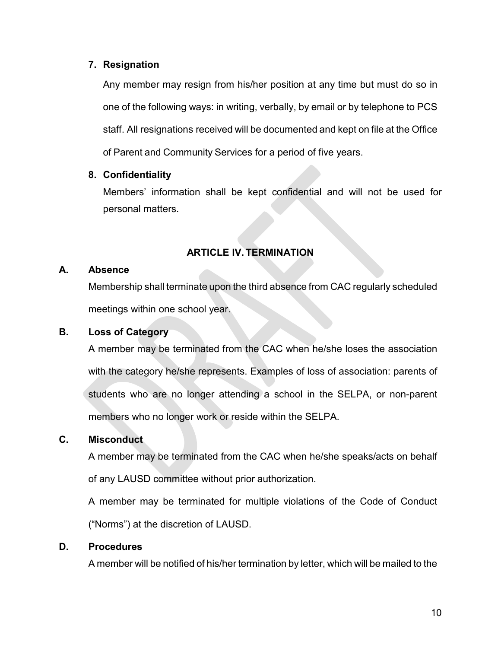#### **7. Resignation**

Any member may resign from his/her position at any time but must do so in one of the following ways: in writing, verbally, by email or by telephone to PCS staff. All resignations received will be documented and kept on file at the Office of Parent and Community Services for a period of five years.

# **8. Confidentiality**

Members' information shall be kept confidential and will not be used for personal matters.

# **ARTICLE IV. TERMINATION**

#### **A. Absence**

Membership shall terminate upon the third absence from CAC regularly scheduled meetings within one school year.

# **B. Loss of Category**

A member may be terminated from the CAC when he/she loses the association with the category he/she represents. Examples of loss of association: parents of students who are no longer attending a school in the SELPA, or non-parent members who no longer work or reside within the SELPA.

# **C. Misconduct**

A member may be terminated from the CAC when he/she speaks/acts on behalf of any LAUSD committee without prior authorization.

A member may be terminated for multiple violations of the Code of Conduct ("Norms") at the discretion of LAUSD.

# **D. Procedures**

A member will be notified of his/her termination by letter, which will be mailed to the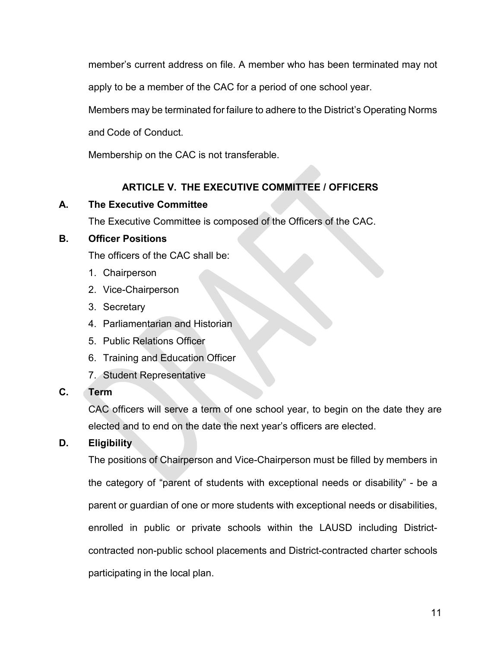member's current address on file. A member who has been terminated may not

apply to be a member of the CAC for a period of one school year.

Members may be terminated for failure to adhere to the District's Operating Norms

and Code of Conduct.

Membership on the CAC is not transferable.

# **ARTICLE V. THE EXECUTIVE COMMITTEE / OFFICERS**

# **A. The Executive Committee**

The Executive Committee is composed of the Officers of the CAC.

# **B. Officer Positions**

The officers of the CAC shall be:

- 1. Chairperson
- 2. Vice-Chairperson
- 3. Secretary
- 4. Parliamentarian and Historian
- 5. Public Relations Officer
- 6. Training and Education Officer
- 7. Student Representative
- **C. Term**

CAC officers will serve a term of one school year, to begin on the date they are elected and to end on the date the next year's officers are elected.

# **D. Eligibility**

The positions of Chairperson and Vice-Chairperson must be filled by members in the category of "parent of students with exceptional needs or disability" - be a parent or guardian of one or more students with exceptional needs or disabilities, enrolled in public or private schools within the LAUSD including Districtcontracted non-public school placements and District-contracted charter schools participating in the local plan.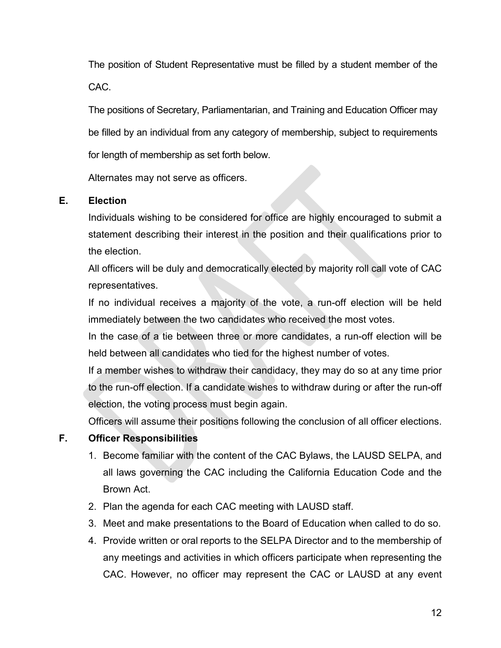The position of Student Representative must be filled by a student member of the CAC.

The positions of Secretary, Parliamentarian, and Training and Education Officer may be filled by an individual from any category of membership, subject to requirements for length of membership as set forth below.

Alternates may not serve as officers.

#### **E. Election**

Individuals wishing to be considered for office are highly encouraged to submit a statement describing their interest in the position and their qualifications prior to the election.

All officers will be duly and democratically elected by majority roll call vote of CAC representatives.

If no individual receives a majority of the vote, a run-off election will be held immediately between the two candidates who received the most votes.

In the case of a tie between three or more candidates, a run-off election will be held between all candidates who tied for the highest number of votes.

If a member wishes to withdraw their candidacy, they may do so at any time prior to the run-off election. If a candidate wishes to withdraw during or after the run-off election, the voting process must begin again.

Officers will assume their positions following the conclusion of all officer elections.

# **F. Officer Responsibilities**

- 1. Become familiar with the content of the CAC Bylaws, the LAUSD SELPA, and all laws governing the CAC including the California Education Code and the Brown Act.
- 2. Plan the agenda for each CAC meeting with LAUSD staff.
- 3. Meet and make presentations to the Board of Education when called to do so.
- 4. Provide written or oral reports to the SELPA Director and to the membership of any meetings and activities in which officers participate when representing the CAC. However, no officer may represent the CAC or LAUSD at any event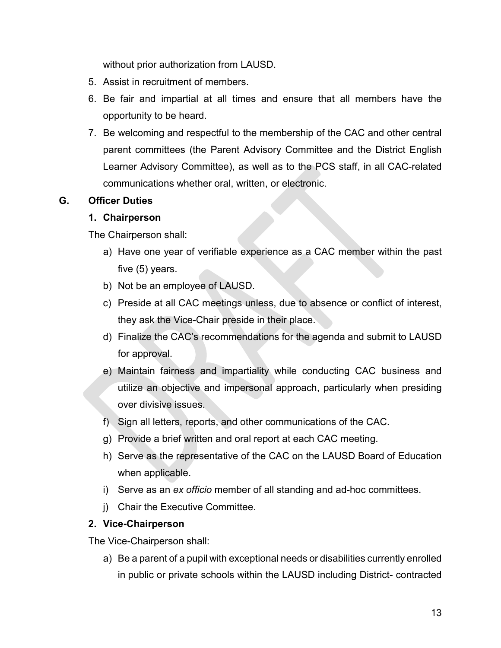without prior authorization from LAUSD.

- 5. Assist in recruitment of members.
- 6. Be fair and impartial at all times and ensure that all members have the opportunity to be heard.
- 7. Be welcoming and respectful to the membership of the CAC and other central parent committees (the Parent Advisory Committee and the District English Learner Advisory Committee), as well as to the PCS staff, in all CAC-related communications whether oral, written, or electronic.

# **G. Officer Duties**

#### **1. Chairperson**

The Chairperson shall:

- a) Have one year of verifiable experience as a CAC member within the past five (5) years.
- b) Not be an employee of LAUSD.
- c) Preside at all CAC meetings unless, due to absence or conflict of interest, they ask the Vice-Chair preside in their place.
- d) Finalize the CAC's recommendations for the agenda and submit to LAUSD for approval.
- e) Maintain fairness and impartiality while conducting CAC business and utilize an objective and impersonal approach, particularly when presiding over divisive issues.
- f) Sign all letters, reports, and other communications of the CAC.
- g) Provide a brief written and oral report at each CAC meeting.
- h) Serve as the representative of the CAC on the LAUSD Board of Education when applicable.
- i) Serve as an *ex officio* member of all standing and ad-hoc committees.
- j) Chair the Executive Committee.

# **2. Vice-Chairperson**

The Vice-Chairperson shall:

a) Be a parent of a pupil with exceptional needs or disabilities currently enrolled in public or private schools within the LAUSD including District- contracted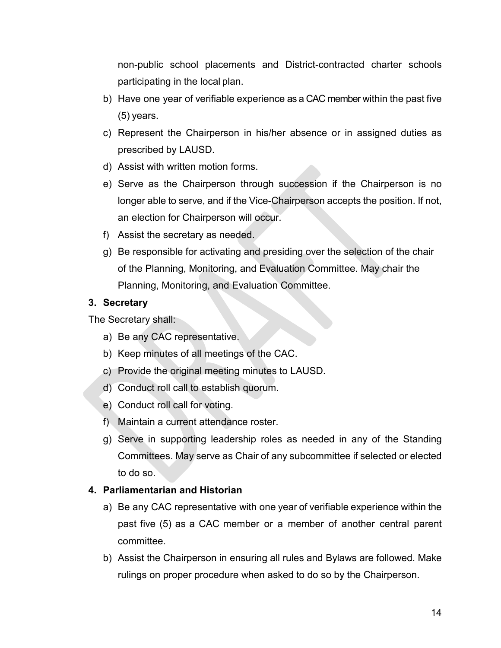non-public school placements and District-contracted charter schools participating in the local plan.

- b) Have one year of verifiable experience as a CAC member within the past five (5) years.
- c) Represent the Chairperson in his/her absence or in assigned duties as prescribed by LAUSD.
- d) Assist with written motion forms.
- e) Serve as the Chairperson through succession if the Chairperson is no longer able to serve, and if the Vice-Chairperson accepts the position. If not, an election for Chairperson will occur.
- f) Assist the secretary as needed.
- g) Be responsible for activating and presiding over the selection of the chair of the Planning, Monitoring, and Evaluation Committee. May chair the Planning, Monitoring, and Evaluation Committee.

# **3. Secretary**

The Secretary shall:

- a) Be any CAC representative.
- b) Keep minutes of all meetings of the CAC.
- c) Provide the original meeting minutes to LAUSD.
- d) Conduct roll call to establish quorum.
- e) Conduct roll call for voting.
- f) Maintain a current attendance roster.
- g) Serve in supporting leadership roles as needed in any of the Standing Committees. May serve as Chair of any subcommittee if selected or elected to do so.

# **4. Parliamentarian and Historian**

- a) Be any CAC representative with one year of verifiable experience within the past five (5) as a CAC member or a member of another central parent committee.
- b) Assist the Chairperson in ensuring all rules and Bylaws are followed. Make rulings on proper procedure when asked to do so by the Chairperson.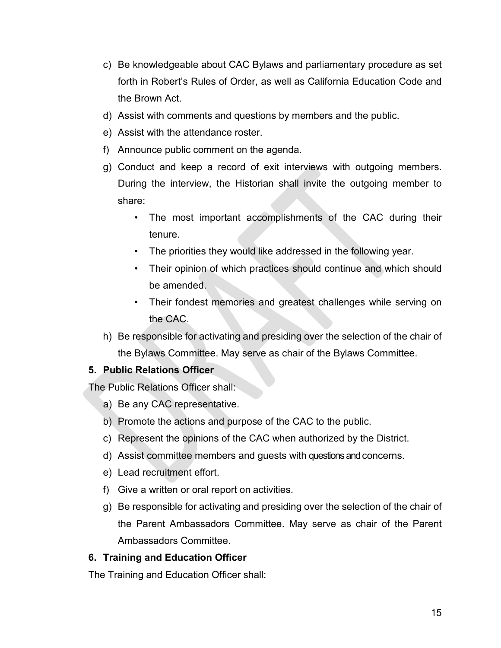- c) Be knowledgeable about CAC Bylaws and parliamentary procedure as set forth in Robert's Rules of Order, as well as California Education Code and the Brown Act.
- d) Assist with comments and questions by members and the public.
- e) Assist with the attendance roster.
- f) Announce public comment on the agenda.
- g) Conduct and keep a record of exit interviews with outgoing members. During the interview, the Historian shall invite the outgoing member to share:
	- The most important accomplishments of the CAC during their tenure.
	- The priorities they would like addressed in the following year.
	- Their opinion of which practices should continue and which should be amended.
	- Their fondest memories and greatest challenges while serving on the CAC.
- h) Be responsible for activating and presiding over the selection of the chair of the Bylaws Committee. May serve as chair of the Bylaws Committee.

# **5. Public Relations Officer**

The Public Relations Officer shall:

- a) Be any CAC representative.
- b) Promote the actions and purpose of the CAC to the public.
- c) Represent the opinions of the CAC when authorized by the District.
- d) Assist committee members and guests with questions and concerns.
- e) Lead recruitment effort.
- f) Give a written or oral report on activities.
- g) Be responsible for activating and presiding over the selection of the chair of the Parent Ambassadors Committee. May serve as chair of the Parent Ambassadors Committee.

# **6. Training and Education Officer**

The Training and Education Officer shall: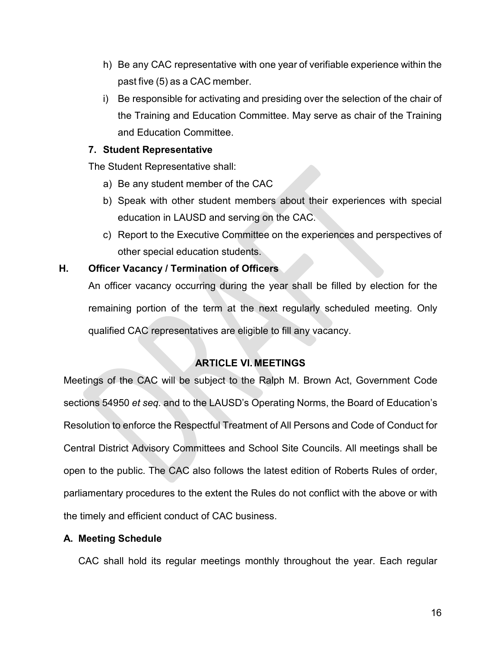- h) Be any CAC representative with one year of verifiable experience within the past five (5) as a CAC member.
- i) Be responsible for activating and presiding over the selection of the chair of the Training and Education Committee. May serve as chair of the Training and Education Committee.

#### **7. Student Representative**

The Student Representative shall:

- a) Be any student member of the CAC
- b) Speak with other student members about their experiences with special education in LAUSD and serving on the CAC.
- c) Report to the Executive Committee on the experiences and perspectives of other special education students.

# **H. Officer Vacancy / Termination of Officers**

An officer vacancy occurring during the year shall be filled by election for the remaining portion of the term at the next regularly scheduled meeting. Only qualified CAC representatives are eligible to fill any vacancy.

# **ARTICLE VI. MEETINGS**

Meetings of the CAC will be subject to the Ralph M. Brown Act, Government Code sections 54950 *et seq.* and to the LAUSD's Operating Norms, the Board of Education's Resolution to enforce the Respectful Treatment of All Persons and Code of Conduct for Central District Advisory Committees and School Site Councils. All meetings shall be open to the public. The CAC also follows the latest edition of Roberts Rules of order, parliamentary procedures to the extent the Rules do not conflict with the above or with the timely and efficient conduct of CAC business.

# **A. Meeting Schedule**

CAC shall hold its regular meetings monthly throughout the year. Each regular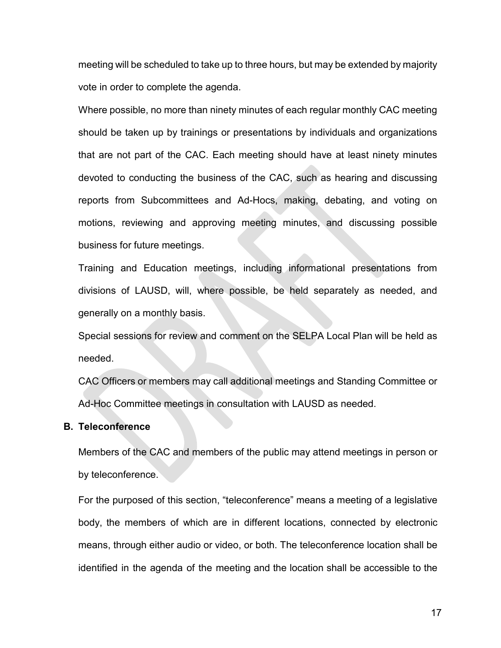meeting will be scheduled to take up to three hours, but may be extended by majority vote in order to complete the agenda.

Where possible, no more than ninety minutes of each regular monthly CAC meeting should be taken up by trainings or presentations by individuals and organizations that are not part of the CAC. Each meeting should have at least ninety minutes devoted to conducting the business of the CAC, such as hearing and discussing reports from Subcommittees and Ad-Hocs, making, debating, and voting on motions, reviewing and approving meeting minutes, and discussing possible business for future meetings.

Training and Education meetings, including informational presentations from divisions of LAUSD, will, where possible, be held separately as needed, and generally on a monthly basis.

Special sessions for review and comment on the SELPA Local Plan will be held as needed.

CAC Officers or members may call additional meetings and Standing Committee or Ad-Hoc Committee meetings in consultation with LAUSD as needed.

#### **B. Teleconference**

Members of the CAC and members of the public may attend meetings in person or by teleconference.

For the purposed of this section, "teleconference" means a meeting of a legislative body, the members of which are in different locations, connected by electronic means, through either audio or video, or both. The teleconference location shall be identified in the agenda of the meeting and the location shall be accessible to the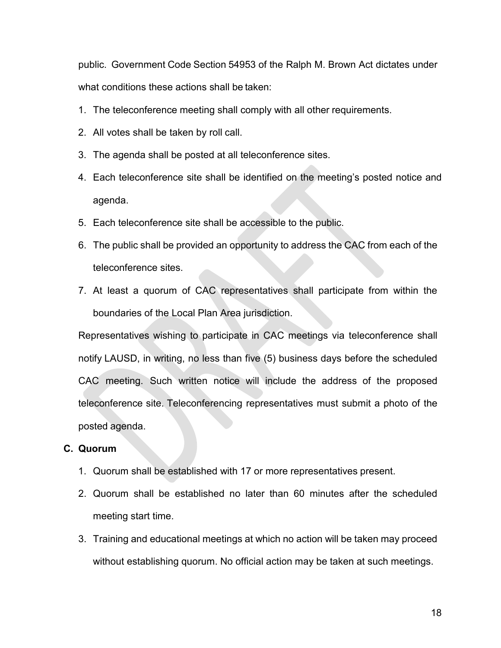public. Government Code Section 54953 of the Ralph M. Brown Act dictates under what conditions these actions shall be taken:

- 1. The teleconference meeting shall comply with all other requirements.
- 2. All votes shall be taken by roll call.
- 3. The agenda shall be posted at all teleconference sites.
- 4. Each teleconference site shall be identified on the meeting's posted notice and agenda.
- 5. Each teleconference site shall be accessible to the public.
- 6. The public shall be provided an opportunity to address the CAC from each of the teleconference sites.
- 7. At least a quorum of CAC representatives shall participate from within the boundaries of the Local Plan Area jurisdiction.

Representatives wishing to participate in CAC meetings via teleconference shall notify LAUSD, in writing, no less than five (5) business days before the scheduled CAC meeting. Such written notice will include the address of the proposed teleconference site. Teleconferencing representatives must submit a photo of the posted agenda.

#### **C. Quorum**

- 1. Quorum shall be established with 17 or more representatives present.
- 2. Quorum shall be established no later than 60 minutes after the scheduled meeting start time.
- 3. Training and educational meetings at which no action will be taken may proceed without establishing quorum. No official action may be taken at such meetings.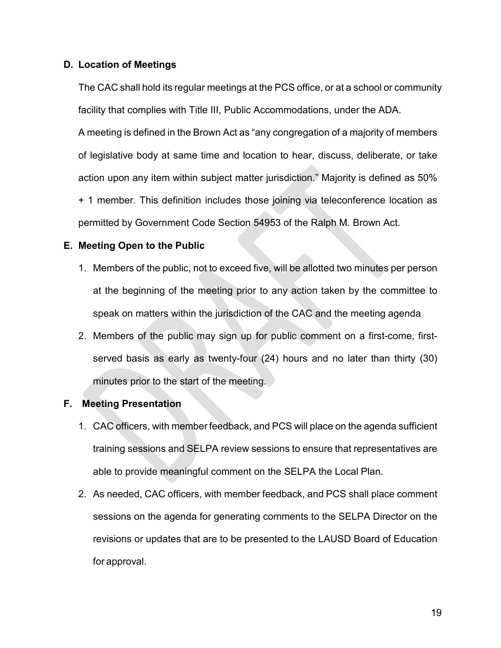#### **D. Location of Meetings**

The CAC shall hold its regular meetings at the PCS office, or at a school or community facility that complies with Title III, Public Accommodations, under the ADA.

A meeting is defined in the Brown Act as "any congregation of a majority of members of legislative body at same time and location to hear, discuss, deliberate, or take action upon any item within subject matter jurisdiction." Majority is defined as 50% + 1 member. This definition includes those joining via teleconference location as permitted by Government Code Section 54953 of the Ralph M. Brown Act.

#### **E. Meeting Open to the Public**

- 1. Members of the public, not to exceed five, will be allotted two minutes per person at the beginning of the meeting prior to any action taken by the committee to speak on matters within the jurisdiction of the CAC and the meeting agenda
- 2. Members of the public may sign up for public comment on a first-come, firstserved basis as early as twenty-four (24) hours and no later than thirty (30) minutes prior to the start of the meeting.

#### **F. Meeting Presentation**

- 1. CAC officers, with member feedback, and PCS will place on the agenda sufficient training sessions and SELPA review sessions to ensure that representatives are able to provide meaningful comment on the SELPA the Local Plan.
- 2. As needed, CAC officers, with member feedback, and PCS shall place comment sessions on the agenda for generating comments to the SELPA Director on the revisions or updates that are to be presented to the LAUSD Board of Education for approval.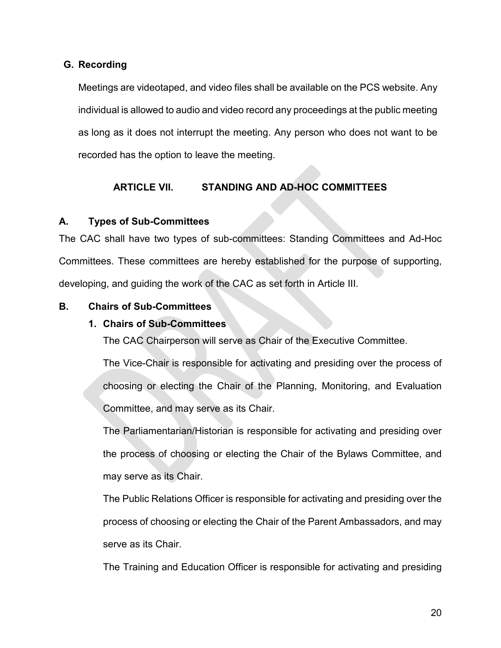#### **G. Recording**

Meetings are videotaped, and video files shall be available on the PCS website. Any individual is allowed to audio and video record any proceedings at the public meeting as long as it does not interrupt the meeting. Any person who does not want to be recorded has the option to leave the meeting.

# **ARTICLE VII. STANDING AND AD-HOC COMMITTEES**

#### **A. Types of Sub-Committees**

The CAC shall have two types of sub-committees: Standing Committees and Ad-Hoc Committees. These committees are hereby established for the purpose of supporting, developing, and guiding the work of the CAC as set forth in Article III.

#### **B. Chairs of Sub-Committees**

#### **1. Chairs of Sub-Committees**

The CAC Chairperson will serve as Chair of the Executive Committee.

The Vice-Chair is responsible for activating and presiding over the process of choosing or electing the Chair of the Planning, Monitoring, and Evaluation Committee, and may serve as its Chair.

The Parliamentarian/Historian is responsible for activating and presiding over the process of choosing or electing the Chair of the Bylaws Committee, and may serve as its Chair.

The Public Relations Officer is responsible for activating and presiding over the process of choosing or electing the Chair of the Parent Ambassadors, and may serve as its Chair.

The Training and Education Officer is responsible for activating and presiding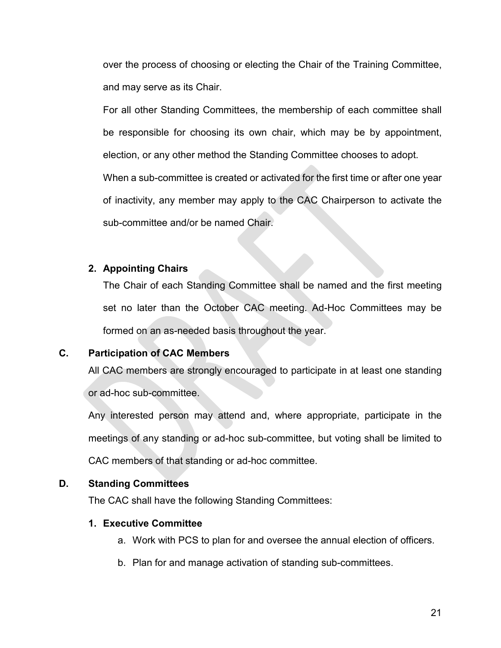over the process of choosing or electing the Chair of the Training Committee, and may serve as its Chair.

For all other Standing Committees, the membership of each committee shall be responsible for choosing its own chair, which may be by appointment, election, or any other method the Standing Committee chooses to adopt.

When a sub-committee is created or activated for the first time or after one year of inactivity, any member may apply to the CAC Chairperson to activate the sub-committee and/or be named Chair.

#### **2. Appointing Chairs**

The Chair of each Standing Committee shall be named and the first meeting set no later than the October CAC meeting. Ad-Hoc Committees may be formed on an as-needed basis throughout the year.

#### **C. Participation of CAC Members**

All CAC members are strongly encouraged to participate in at least one standing or ad-hoc sub-committee.

Any interested person may attend and, where appropriate, participate in the meetings of any standing or ad-hoc sub-committee, but voting shall be limited to CAC members of that standing or ad-hoc committee.

#### **D. Standing Committees**

The CAC shall have the following Standing Committees:

#### **1. Executive Committee**

- a. Work with PCS to plan for and oversee the annual election of officers.
- b. Plan for and manage activation of standing sub-committees.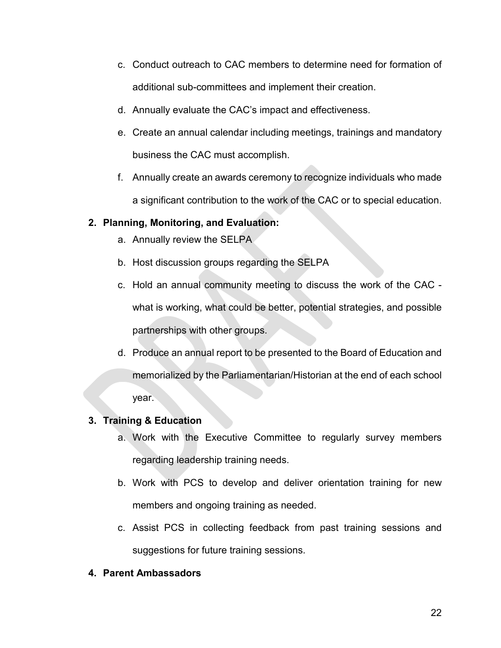- c. Conduct outreach to CAC members to determine need for formation of additional sub-committees and implement their creation.
- d. Annually evaluate the CAC's impact and effectiveness.
- e. Create an annual calendar including meetings, trainings and mandatory business the CAC must accomplish.
- f. Annually create an awards ceremony to recognize individuals who made a significant contribution to the work of the CAC or to special education.

#### **2. Planning, Monitoring, and Evaluation:**

- a. Annually review the SELPA
- b. Host discussion groups regarding the SELPA
- c. Hold an annual community meeting to discuss the work of the CAC what is working, what could be better, potential strategies, and possible partnerships with other groups.
- d. Produce an annual report to be presented to the Board of Education and memorialized by the Parliamentarian/Historian at the end of each school year.

#### **3. Training & Education**

- a. Work with the Executive Committee to regularly survey members regarding leadership training needs.
- b. Work with PCS to develop and deliver orientation training for new members and ongoing training as needed.
- c. Assist PCS in collecting feedback from past training sessions and suggestions for future training sessions.

#### **4. Parent Ambassadors**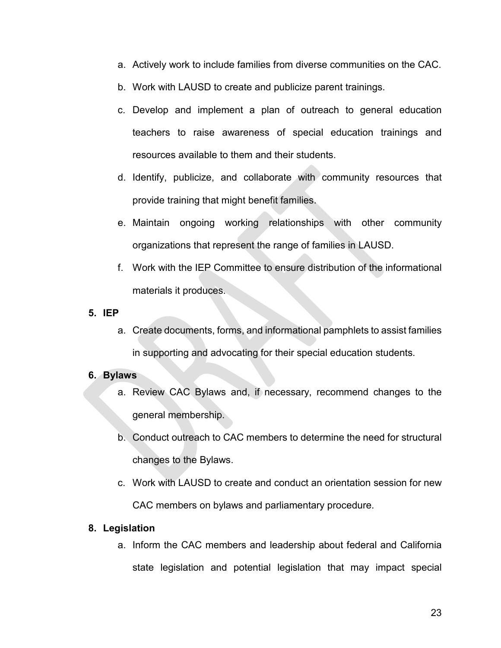- a. Actively work to include families from diverse communities on the CAC.
- b. Work with LAUSD to create and publicize parent trainings.
- c. Develop and implement a plan of outreach to general education teachers to raise awareness of special education trainings and resources available to them and their students.
- d. Identify, publicize, and collaborate with community resources that provide training that might benefit families.
- e. Maintain ongoing working relationships with other community organizations that represent the range of families in LAUSD.
- f. Work with the IEP Committee to ensure distribution of the informational materials it produces.

#### **5. IEP**

a. Create documents, forms, and informational pamphlets to assist families in supporting and advocating for their special education students.

# **6. Bylaws**

- a. Review CAC Bylaws and, if necessary, recommend changes to the general membership.
- b. Conduct outreach to CAC members to determine the need for structural changes to the Bylaws.
- c. Work with LAUSD to create and conduct an orientation session for new CAC members on bylaws and parliamentary procedure.

#### **8. Legislation**

a. Inform the CAC members and leadership about federal and California state legislation and potential legislation that may impact special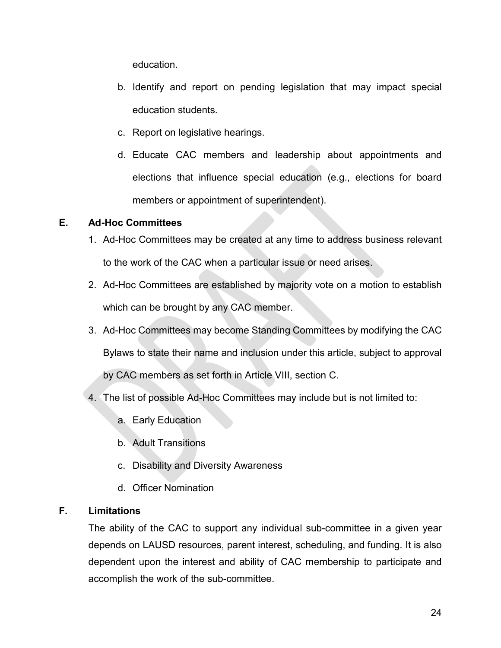education.

- b. Identify and report on pending legislation that may impact special education students.
- c. Report on legislative hearings.
- d. Educate CAC members and leadership about appointments and elections that influence special education (e.g., elections for board members or appointment of superintendent).

# **E. Ad-Hoc Committees**

- 1. Ad-Hoc Committees may be created at any time to address business relevant to the work of the CAC when a particular issue or need arises.
- 2. Ad-Hoc Committees are established by majority vote on a motion to establish which can be brought by any CAC member.
- 3. Ad-Hoc Committees may become Standing Committees by modifying the CAC Bylaws to state their name and inclusion under this article, subject to approval by CAC members as set forth in Article VIII, section C.
- 4. The list of possible Ad-Hoc Committees may include but is not limited to:
	- a. Early Education
	- b. Adult Transitions
	- c. Disability and Diversity Awareness
	- d. Officer Nomination

# **F. Limitations**

The ability of the CAC to support any individual sub-committee in a given year depends on LAUSD resources, parent interest, scheduling, and funding. It is also dependent upon the interest and ability of CAC membership to participate and accomplish the work of the sub-committee.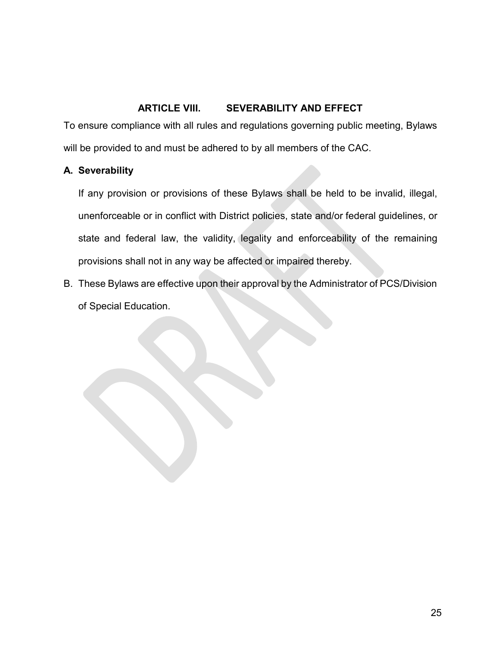#### **ARTICLE VIII. SEVERABILITY AND EFFECT**

To ensure compliance with all rules and regulations governing public meeting, Bylaws will be provided to and must be adhered to by all members of the CAC.

#### **A. Severability**

If any provision or provisions of these Bylaws shall be held to be invalid, illegal, unenforceable or in conflict with District policies, state and/or federal guidelines, or state and federal law, the validity, legality and enforceability of the remaining provisions shall not in any way be affected or impaired thereby.

B. These Bylaws are effective upon their approval by the Administrator of PCS/Division of Special Education.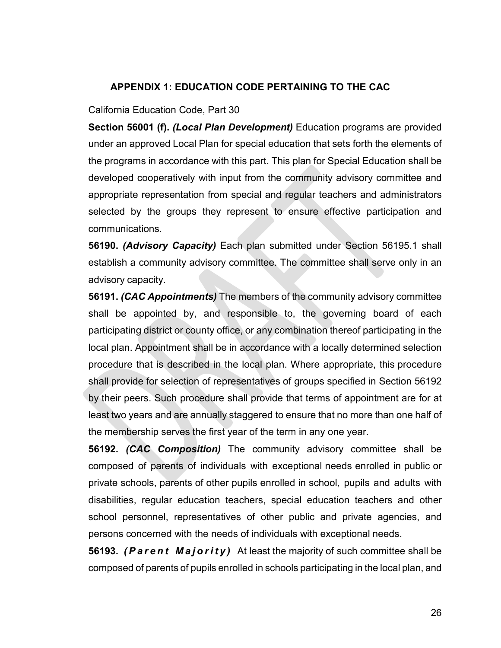#### **APPENDIX 1: EDUCATION CODE PERTAINING TO THE CAC**

#### California Education Code, Part 30

**Section 56001 (f).** *(Local Plan Development)* Education programs are provided under an approved Local Plan for special education that sets forth the elements of the programs in accordance with this part. This plan for Special Education shall be developed cooperatively with input from the community advisory committee and appropriate representation from special and regular teachers and administrators selected by the groups they represent to ensure effective participation and communications.

**56190.** *(Advisory Capacity)* Each plan submitted under Section 56195.1 shall establish a community advisory committee. The committee shall serve only in an advisory capacity.

**56191.** *(CAC Appointments)* The members of the community advisory committee shall be appointed by, and responsible to, the governing board of each participating district or county office, or any combination thereof participating in the local plan. Appointment shall be in accordance with a locally determined selection procedure that is described in the local plan. Where appropriate, this procedure shall provide for selection of representatives of groups specified in Section 56192 by their peers. Such procedure shall provide that terms of appointment are for at least two years and are annually staggered to ensure that no more than one half of the membership serves the first year of the term in any one year.

**56192.** *(CAC Composition)* The community advisory committee shall be composed of parents of individuals with exceptional needs enrolled in public or private schools, parents of other pupils enrolled in school, pupils and adults with disabilities, regular education teachers, special education teachers and other school personnel, representatives of other public and private agencies, and persons concerned with the needs of individuals with exceptional needs.

**56193.** *(Parent Majority)* At least the majority of such committee shall be composed of parents of pupils enrolled in schools participating in the local plan, and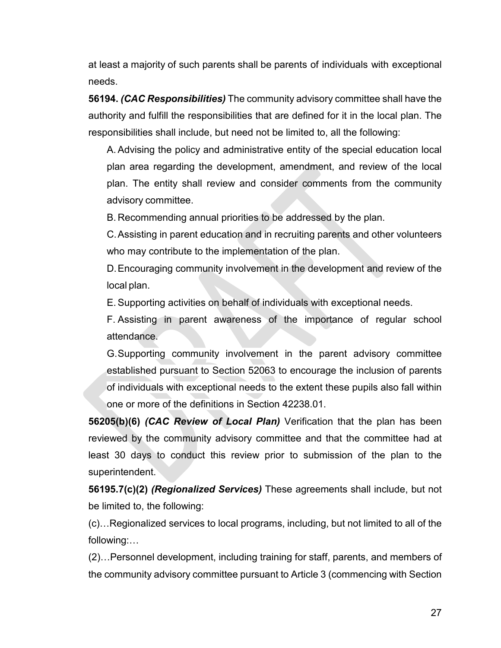at least a majority of such parents shall be parents of individuals with exceptional needs.

**56194.** *(CAC Responsibilities)* The community advisory committee shall have the authority and fulfill the responsibilities that are defined for it in the local plan. The responsibilities shall include, but need not be limited to, all the following:

A. Advising the policy and administrative entity of the special education local plan area regarding the development, amendment, and review of the local plan. The entity shall review and consider comments from the community advisory committee.

B. Recommending annual priorities to be addressed by the plan.

C.Assisting in parent education and in recruiting parents and other volunteers who may contribute to the implementation of the plan.

D.Encouraging community involvement in the development and review of the local plan.

E. Supporting activities on behalf of individuals with exceptional needs.

F. Assisting in parent awareness of the importance of regular school attendance.

G.Supporting community involvement in the parent advisory committee established pursuant to Section 52063 to encourage the inclusion of parents of individuals with exceptional needs to the extent these pupils also fall within one or more of the definitions in Section 42238.01.

**56205(b)(6)** *(CAC Review of Local Plan)* Verification that the plan has been reviewed by the community advisory committee and that the committee had at least 30 days to conduct this review prior to submission of the plan to the superintendent.

**56195.7(c)(2)** *(Regionalized Services)* These agreements shall include, but not be limited to, the following:

(c)…Regionalized services to local programs, including, but not limited to all of the following:…

(2)…Personnel development, including training for staff, parents, and members of the community advisory committee pursuant to Article 3 (commencing with Section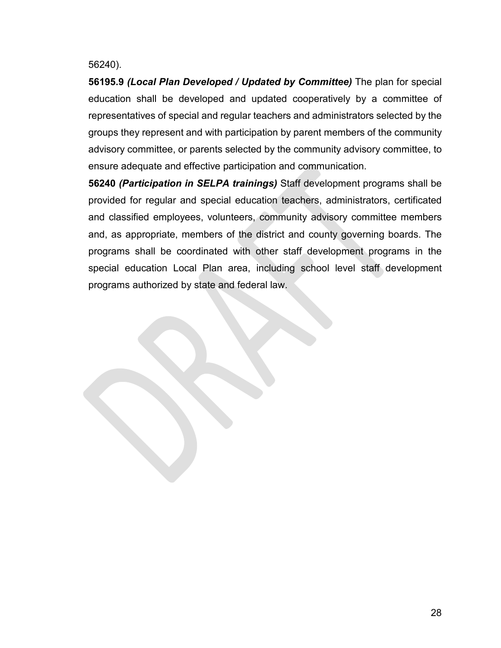#### 56240).

**56195.9** *(Local Plan Developed / Updated by Committee)* The plan for special education shall be developed and updated cooperatively by a committee of representatives of special and regular teachers and administrators selected by the groups they represent and with participation by parent members of the community advisory committee, or parents selected by the community advisory committee, to ensure adequate and effective participation and communication.

**56240** *(Participation in SELPA trainings)* Staff development programs shall be provided for regular and special education teachers, administrators, certificated and classified employees, volunteers, community advisory committee members and, as appropriate, members of the district and county governing boards. The programs shall be coordinated with other staff development programs in the special education Local Plan area, including school level staff development programs authorized by state and federal law.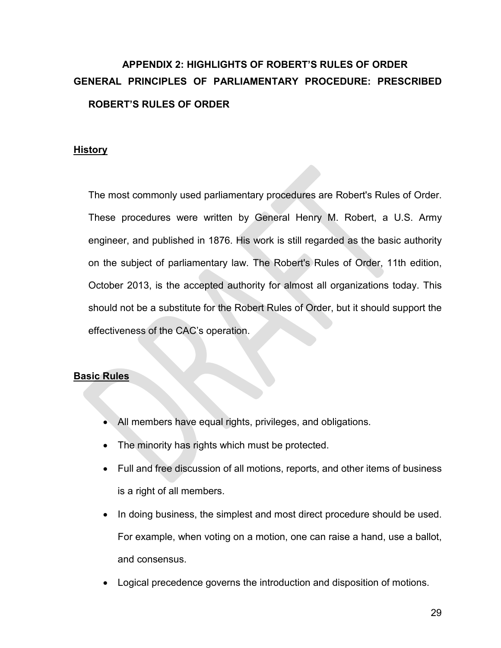# **APPENDIX 2: HIGHLIGHTS OF ROBERT'S RULES OF ORDER GENERAL PRINCIPLES OF PARLIAMENTARY PROCEDURE: PRESCRIBED ROBERT'S RULES OF ORDER**

#### **History**

The most commonly used parliamentary procedures are Robert's Rules of Order. These procedures were written by General Henry M. Robert, a U.S. Army engineer, and published in 1876. His work is still regarded as the basic authority on the subject of parliamentary law. The Robert's Rules of Order, 11th edition, October 2013, is the accepted authority for almost all organizations today. This should not be a substitute for the Robert Rules of Order, but it should support the effectiveness of the CAC's operation.

#### **Basic Rules**

- All members have equal rights, privileges, and obligations.
- The minority has rights which must be protected.
- Full and free discussion of all motions, reports, and other items of business is a right of all members.
- In doing business, the simplest and most direct procedure should be used. For example, when voting on a motion, one can raise a hand, use a ballot, and consensus.
- Logical precedence governs the introduction and disposition of motions.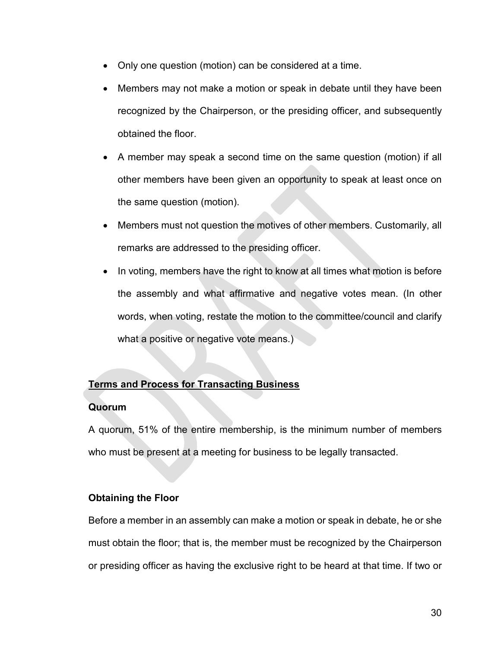- Only one question (motion) can be considered at a time.
- Members may not make a motion or speak in debate until they have been recognized by the Chairperson, or the presiding officer, and subsequently obtained the floor.
- A member may speak a second time on the same question (motion) if all other members have been given an opportunity to speak at least once on the same question (motion).
- Members must not question the motives of other members. Customarily, all remarks are addressed to the presiding officer.
- In voting, members have the right to know at all times what motion is before the assembly and what affirmative and negative votes mean. (In other words, when voting, restate the motion to the committee/council and clarify what a positive or negative vote means.)

# **Terms and Process for Transacting Business**

#### **Quorum**

A quorum, 51% of the entire membership, is the minimum number of members who must be present at a meeting for business to be legally transacted.

# **Obtaining the Floor**

Before a member in an assembly can make a motion or speak in debate, he or she must obtain the floor; that is, the member must be recognized by the Chairperson or presiding officer as having the exclusive right to be heard at that time. If two or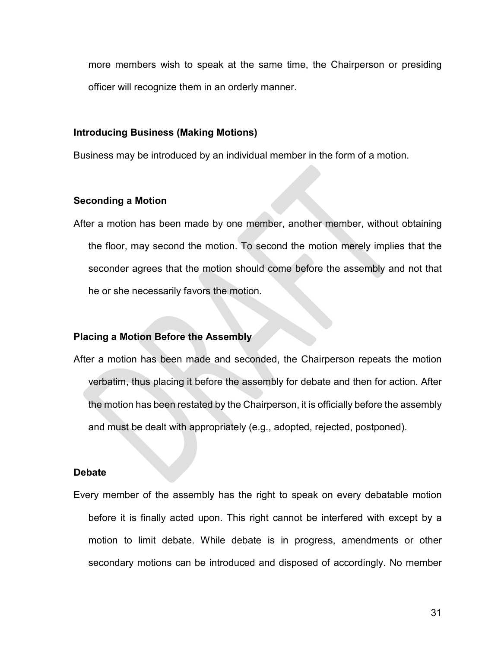more members wish to speak at the same time, the Chairperson or presiding officer will recognize them in an orderly manner.

#### **Introducing Business (Making Motions)**

Business may be introduced by an individual member in the form of a motion.

#### **Seconding a Motion**

After a motion has been made by one member, another member, without obtaining the floor, may second the motion. To second the motion merely implies that the seconder agrees that the motion should come before the assembly and not that he or she necessarily favors the motion.

#### **Placing a Motion Before the Assembly**

After a motion has been made and seconded, the Chairperson repeats the motion verbatim, thus placing it before the assembly for debate and then for action. After the motion has been restated by the Chairperson, it is officially before the assembly and must be dealt with appropriately (e.g., adopted, rejected, postponed).

#### **Debate**

Every member of the assembly has the right to speak on every debatable motion before it is finally acted upon. This right cannot be interfered with except by a motion to limit debate. While debate is in progress, amendments or other secondary motions can be introduced and disposed of accordingly. No member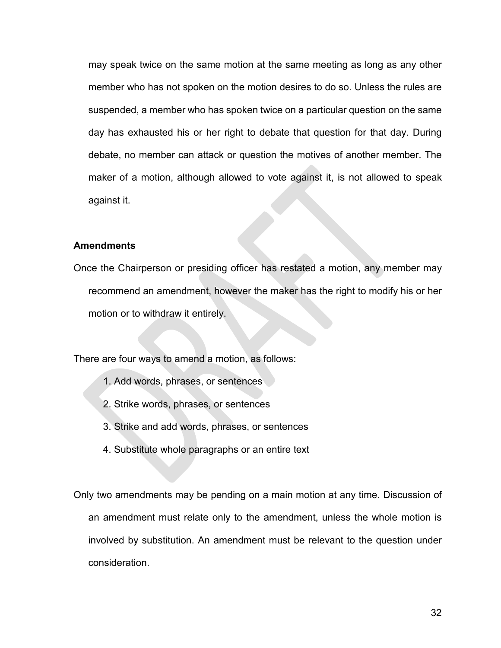may speak twice on the same motion at the same meeting as long as any other member who has not spoken on the motion desires to do so. Unless the rules are suspended, a member who has spoken twice on a particular question on the same day has exhausted his or her right to debate that question for that day. During debate, no member can attack or question the motives of another member. The maker of a motion, although allowed to vote against it, is not allowed to speak against it.

#### **Amendments**

Once the Chairperson or presiding officer has restated a motion, any member may recommend an amendment, however the maker has the right to modify his or her motion or to withdraw it entirely.

There are four ways to amend a motion, as follows:

- 1. Add words, phrases, or sentences
- 2. Strike words, phrases, or sentences
- 3. Strike and add words, phrases, or sentences
- 4. Substitute whole paragraphs or an entire text

Only two amendments may be pending on a main motion at any time. Discussion of an amendment must relate only to the amendment, unless the whole motion is involved by substitution. An amendment must be relevant to the question under consideration.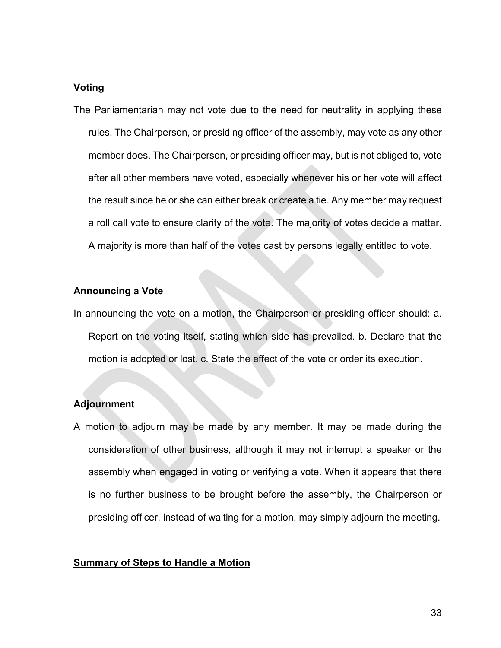#### **Voting**

The Parliamentarian may not vote due to the need for neutrality in applying these rules. The Chairperson, or presiding officer of the assembly, may vote as any other member does. The Chairperson, or presiding officer may, but is not obliged to, vote after all other members have voted, especially whenever his or her vote will affect the result since he or she can either break or create a tie. Any member may request a roll call vote to ensure clarity of the vote. The majority of votes decide a matter. A majority is more than half of the votes cast by persons legally entitled to vote.

#### **Announcing a Vote**

In announcing the vote on a motion, the Chairperson or presiding officer should: a. Report on the voting itself, stating which side has prevailed. b. Declare that the motion is adopted or lost. c. State the effect of the vote or order its execution.

#### **Adjournment**

A motion to adjourn may be made by any member. It may be made during the consideration of other business, although it may not interrupt a speaker or the assembly when engaged in voting or verifying a vote. When it appears that there is no further business to be brought before the assembly, the Chairperson or presiding officer, instead of waiting for a motion, may simply adjourn the meeting.

#### **Summary of Steps to Handle a Motion**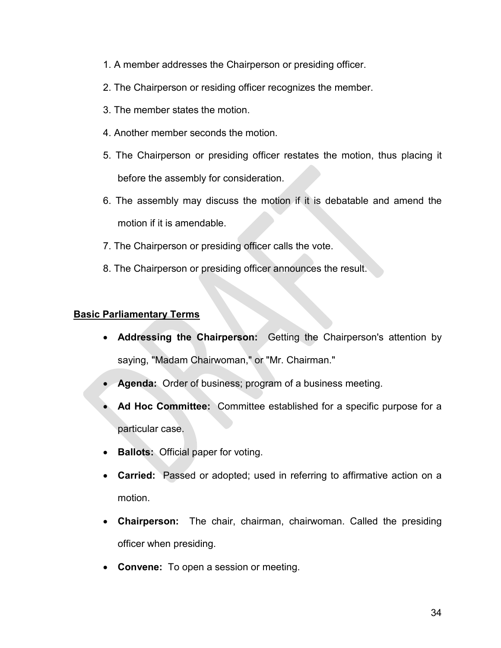- 1. A member addresses the Chairperson or presiding officer.
- 2. The Chairperson or residing officer recognizes the member.
- 3. The member states the motion.
- 4. Another member seconds the motion.
- 5. The Chairperson or presiding officer restates the motion, thus placing it before the assembly for consideration.
- 6. The assembly may discuss the motion if it is debatable and amend the motion if it is amendable.
- 7. The Chairperson or presiding officer calls the vote.
- 8. The Chairperson or presiding officer announces the result.

#### **Basic Parliamentary Terms**

- **Addressing the Chairperson:** Getting the Chairperson's attention by saying, "Madam Chairwoman," or "Mr. Chairman."
- **Agenda:** Order of business; program of a business meeting.
- **Ad Hoc Committee:** Committee established for a specific purpose for a particular case.
- **Ballots:** Official paper for voting.
- **Carried:** Passed or adopted; used in referring to affirmative action on a motion.
- **Chairperson:** The chair, chairman, chairwoman. Called the presiding officer when presiding.
- **Convene:** To open a session or meeting.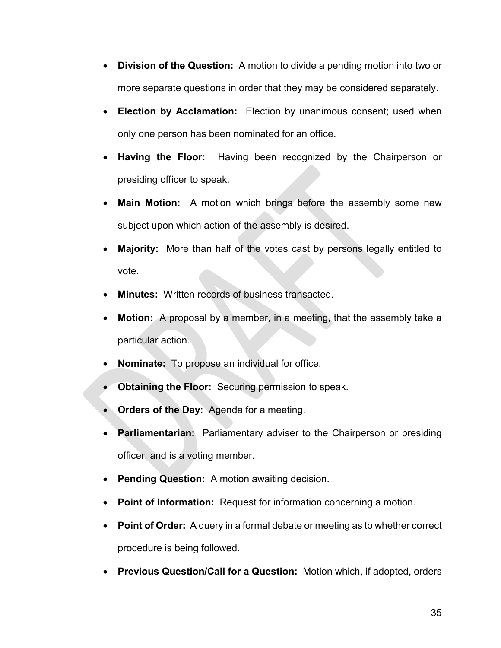- **Division of the Question:** A motion to divide a pending motion into two or more separate questions in order that they may be considered separately.
- **Election by Acclamation:** Election by unanimous consent; used when only one person has been nominated for an office.
- **Having the Floor:** Having been recognized by the Chairperson or presiding officer to speak.
- **Main Motion:** A motion which brings before the assembly some new subject upon which action of the assembly is desired.
- **Majority:** More than half of the votes cast by persons legally entitled to vote.
- **Minutes:** Written records of business transacted.
- **Motion:** A proposal by a member, in a meeting, that the assembly take a particular action.
- **Nominate:** To propose an individual for office.
- **Obtaining the Floor:** Securing permission to speak.
- **Orders of the Day:** Agenda for a meeting.
- **Parliamentarian:** Parliamentary adviser to the Chairperson or presiding officer, and is a voting member.
- **Pending Question:** A motion awaiting decision.
- **Point of Information:** Request for information concerning a motion.
- **Point of Order:** A query in a formal debate or meeting as to whether correct procedure is being followed.
- **Previous Question/Call for a Question:** Motion which, if adopted, orders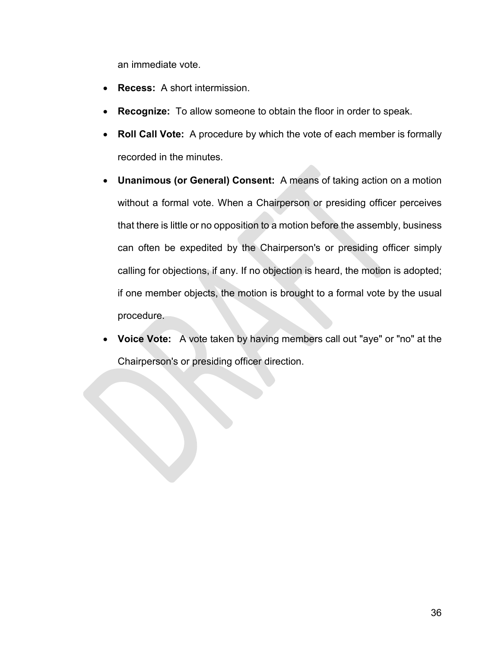an immediate vote.

- **Recess:** A short intermission.
- **Recognize:** To allow someone to obtain the floor in order to speak.
- **Roll Call Vote:** A procedure by which the vote of each member is formally recorded in the minutes.
- **Unanimous (or General) Consent:** A means of taking action on a motion without a formal vote. When a Chairperson or presiding officer perceives that there is little or no opposition to a motion before the assembly, business can often be expedited by the Chairperson's or presiding officer simply calling for objections, if any. If no objection is heard, the motion is adopted; if one member objects, the motion is brought to a formal vote by the usual procedure.
- **Voice Vote:** A vote taken by having members call out "aye" or "no" at the Chairperson's or presiding officer direction.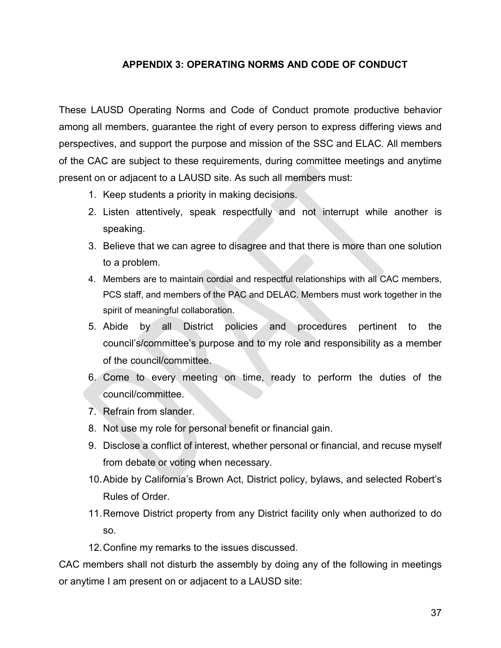# **APPENDIX 3: OPERATING NORMS AND CODE OF CONDUCT**

These LAUSD Operating Norms and Code of Conduct promote productive behavior among all members, guarantee the right of every person to express differing views and perspectives, and support the purpose and mission of the SSC and ELAC. All members of the CAC are subject to these requirements, during committee meetings and anytime present on or adjacent to a LAUSD site. As such all members must:

- 1. Keep students a priority in making decisions.
- 2. Listen attentively, speak respectfully and not interrupt while another is speaking.
- 3. Believe that we can agree to disagree and that there is more than one solution to a problem.
- 4. Members are to maintain cordial and respectful relationships with all CAC members, PCS staff, and members of the PAC and DELAC. Members must work together in the spirit of meaningful collaboration.
- 5. Abide by all District policies and procedures pertinent to the council's/committee's purpose and to my role and responsibility as a member of the council/committee.
- 6. Come to every meeting on time, ready to perform the duties of the council/committee.
- 7. Refrain from slander.
- 8. Not use my role for personal benefit or financial gain.
- 9. Disclose a conflict of interest, whether personal or financial, and recuse myself from debate or voting when necessary.
- 10.Abide by California's Brown Act, District policy, bylaws, and selected Robert's Rules of Order.
- 11.Remove District property from any District facility only when authorized to do so.
- 12.Confine my remarks to the issues discussed.

CAC members shall not disturb the assembly by doing any of the following in meetings or anytime I am present on or adjacent to a LAUSD site: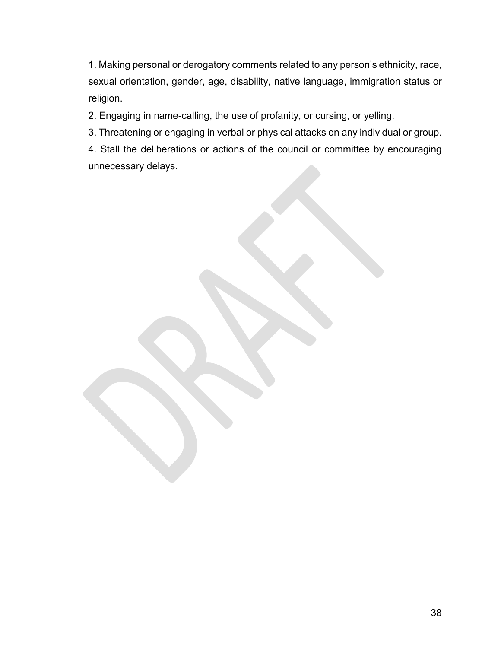1. Making personal or derogatory comments related to any person's ethnicity, race, sexual orientation, gender, age, disability, native language, immigration status or religion.

2. Engaging in name-calling, the use of profanity, or cursing, or yelling.

3. Threatening or engaging in verbal or physical attacks on any individual or group.

4. Stall the deliberations or actions of the council or committee by encouraging unnecessary delays.